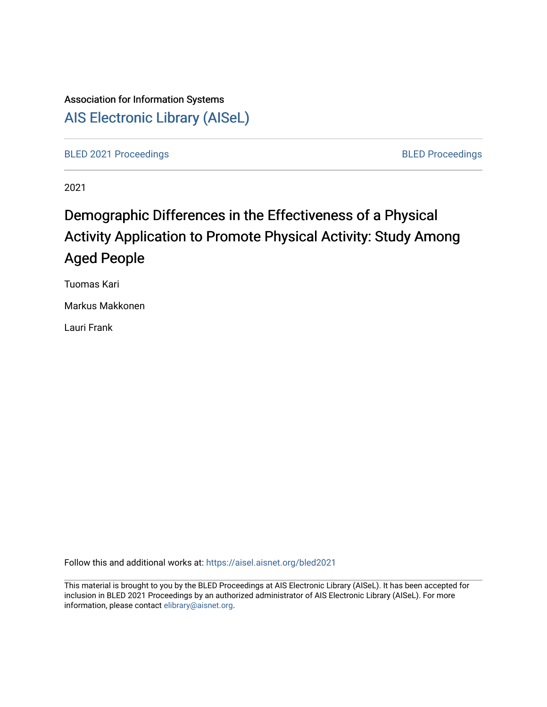# Association for Information Systems [AIS Electronic Library \(AISeL\)](https://aisel.aisnet.org/)

[BLED 2021 Proceedings](https://aisel.aisnet.org/bled2021) **BLED Proceedings** 

2021

# Demographic Differences in the Effectiveness of a Physical Activity Application to Promote Physical Activity: Study Among Aged People

Tuomas Kari

Markus Makkonen

Lauri Frank

Follow this and additional works at: [https://aisel.aisnet.org/bled2021](https://aisel.aisnet.org/bled2021?utm_source=aisel.aisnet.org%2Fbled2021%2F46&utm_medium=PDF&utm_campaign=PDFCoverPages) 

This material is brought to you by the BLED Proceedings at AIS Electronic Library (AISeL). It has been accepted for inclusion in BLED 2021 Proceedings by an authorized administrator of AIS Electronic Library (AISeL). For more information, please contact [elibrary@aisnet.org.](mailto:elibrary@aisnet.org%3E)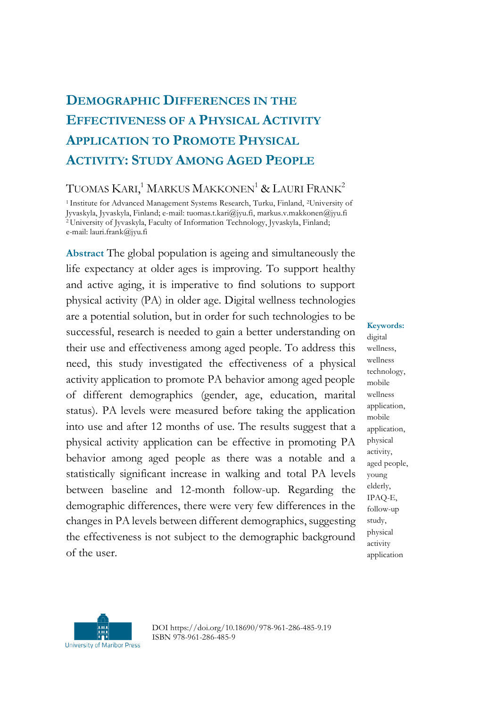# **DEMOGRAPHIC DIFFERENCES IN THE EFFECTIVENESS OF A PHYSICAL ACTIVITY APPLICATION TO PROMOTE PHYSICAL ACTIVITY: STUDY AMONG AGED PEOPLE**

## TUOMAS  $\mathrm{K}$ ari, $^1$  Markus Makkonen $^1$  & Lauri Frank $^2$

<sup>1</sup> Institute for Advanced Management Systems Research, Turku, Finland, <sup>2</sup>University of Jyvaskyla, Jyvaskyla, Finland; e-mail: tuomas.t.kari@jyu.fi, markus.v.makkonen@jyu.fi <sup>2</sup>University of Jyvaskyla, Faculty of Information Technology, Jyvaskyla, Finland; e-mail: lauri.frank@jyu.fi

**Abstract** The global population is ageing and simultaneously the life expectancy at older ages is improving. To support healthy and active aging, it is imperative to find solutions to support physical activity (PA) in older age. Digital wellness technologies are a potential solution, but in order for such technologies to be successful, research is needed to gain a better understanding on their use and effectiveness among aged people. To address this need, this study investigated the effectiveness of a physical activity application to promote PA behavior among aged people of different demographics (gender, age, education, marital status). PA levels were measured before taking the application into use and after 12 months of use. The results suggest that a physical activity application can be effective in promoting PA behavior among aged people as there was a notable and a statistically significant increase in walking and total PA levels between baseline and 12-month follow-up. Regarding the demographic differences, there were very few differences in the changes in PA levels between different demographics, suggesting the effectiveness is not subject to the demographic background of the user.

**Keywords:** digital wellness, wellness technology, mobile wellness application, mobile application, physical activity, aged people, young elderly, IPAQ-E, follow-up study, physical activity application



DOI https://doi.org/10.18690/978-961-286-485-9.19 ISBN 978-961-286-485-9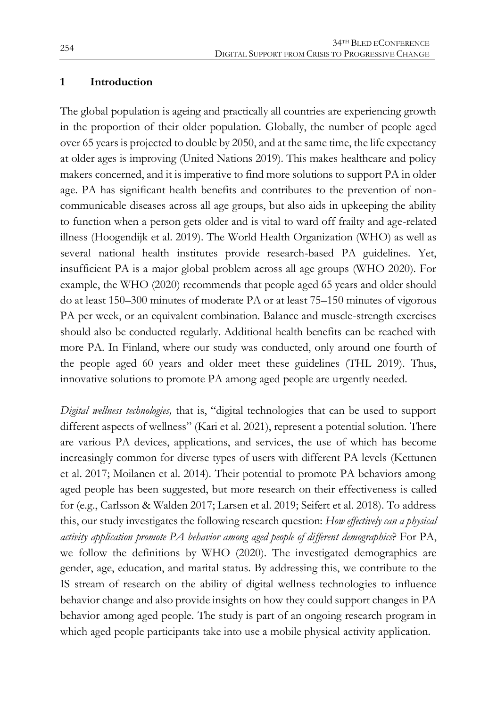#### **1 Introduction**

The global population is ageing and practically all countries are experiencing growth in the proportion of their older population. Globally, the number of people aged over 65 years is projected to double by 2050, and at the same time, the life expectancy at older ages is improving (United Nations 2019). This makes healthcare and policy makers concerned, and it is imperative to find more solutions to support PA in older age. PA has significant health benefits and contributes to the prevention of noncommunicable diseases across all age groups, but also aids in upkeeping the ability to function when a person gets older and is vital to ward off frailty and age-related illness (Hoogendijk et al. 2019). The World Health Organization (WHO) as well as several national health institutes provide research-based PA guidelines. Yet, insufficient PA is a major global problem across all age groups (WHO 2020). For example, the WHO (2020) recommends that people aged 65 years and older should do at least 150–300 minutes of moderate PA or at least 75–150 minutes of vigorous PA per week, or an equivalent combination. Balance and muscle-strength exercises should also be conducted regularly. Additional health benefits can be reached with more PA. In Finland, where our study was conducted, only around one fourth of the people aged 60 years and older meet these guidelines (THL 2019). Thus, innovative solutions to promote PA among aged people are urgently needed.

*Digital wellness technologies,* that is, "digital technologies that can be used to support different aspects of wellness" (Kari et al. 2021), represent a potential solution. There are various PA devices, applications, and services, the use of which has become increasingly common for diverse types of users with different PA levels (Kettunen et al. 2017; Moilanen et al. 2014). Their potential to promote PA behaviors among aged people has been suggested, but more research on their effectiveness is called for (e.g., Carlsson & Walden 2017; Larsen et al. 2019; Seifert et al. 2018). To address this, our study investigates the following research question: *How effectively can a physical activity application promote PA behavior among aged people of different demographics*? For PA, we follow the definitions by WHO (2020). The investigated demographics are gender, age, education, and marital status. By addressing this, we contribute to the IS stream of research on the ability of digital wellness technologies to influence behavior change and also provide insights on how they could support changes in PA behavior among aged people. The study is part of an ongoing research program in which aged people participants take into use a mobile physical activity application.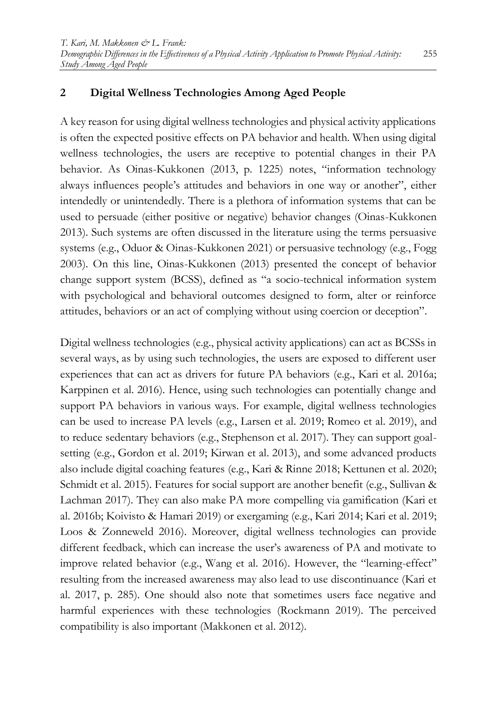#### **2 Digital Wellness Technologies Among Aged People**

A key reason for using digital wellness technologies and physical activity applications is often the expected positive effects on PA behavior and health. When using digital wellness technologies, the users are receptive to potential changes in their PA behavior. As Oinas-Kukkonen (2013, p. 1225) notes, "information technology always influences people's attitudes and behaviors in one way or another", either intendedly or unintendedly. There is a plethora of information systems that can be used to persuade (either positive or negative) behavior changes (Oinas-Kukkonen 2013). Such systems are often discussed in the literature using the terms persuasive systems (e.g., Oduor & Oinas-Kukkonen 2021) or persuasive technology (e.g., Fogg 2003). On this line, Oinas-Kukkonen (2013) presented the concept of behavior change support system (BCSS), defined as "a socio-technical information system with psychological and behavioral outcomes designed to form, alter or reinforce attitudes, behaviors or an act of complying without using coercion or deception".

Digital wellness technologies (e.g., physical activity applications) can act as BCSSs in several ways, as by using such technologies, the users are exposed to different user experiences that can act as drivers for future PA behaviors (e.g., Kari et al. 2016a; Karppinen et al. 2016). Hence, using such technologies can potentially change and support PA behaviors in various ways. For example, digital wellness technologies can be used to increase PA levels (e.g., Larsen et al. 2019; Romeo et al. 2019), and to reduce sedentary behaviors (e.g., Stephenson et al. 2017). They can support goalsetting (e.g., Gordon et al. 2019; Kirwan et al. 2013), and some advanced products also include digital coaching features (e.g., Kari & Rinne 2018; Kettunen et al. 2020; Schmidt et al. 2015). Features for social support are another benefit (e.g., Sullivan & Lachman 2017). They can also make PA more compelling via gamification (Kari et al. 2016b; Koivisto & Hamari 2019) or exergaming (e.g., Kari 2014; Kari et al. 2019; Loos & Zonneweld 2016). Moreover, digital wellness technologies can provide different feedback, which can increase the user's awareness of PA and motivate to improve related behavior (e.g., Wang et al. 2016). However, the "learning-effect" resulting from the increased awareness may also lead to use discontinuance (Kari et al. 2017, p. 285). One should also note that sometimes users face negative and harmful experiences with these technologies (Rockmann 2019). The perceived compatibility is also important (Makkonen et al. 2012).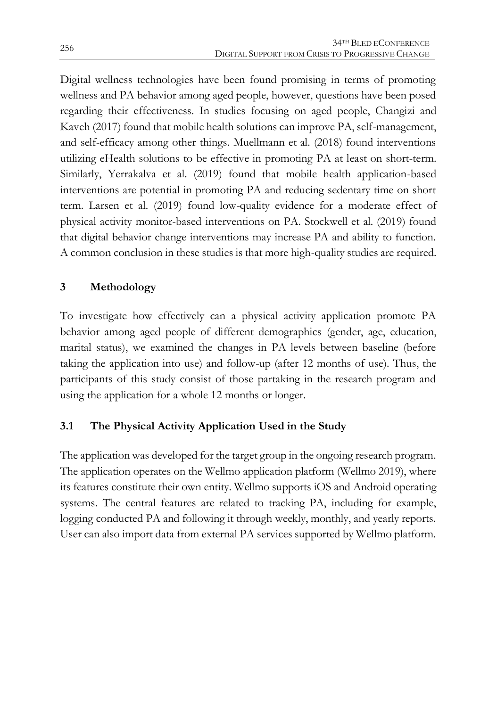Digital wellness technologies have been found promising in terms of promoting wellness and PA behavior among aged people, however, questions have been posed regarding their effectiveness. In studies focusing on aged people, Changizi and Kaveh (2017) found that mobile health solutions can improve PA, self-management, and self-efficacy among other things. Muellmann et al. (2018) found interventions utilizing eHealth solutions to be effective in promoting PA at least on short-term. Similarly, Yerrakalva et al. (2019) found that mobile health application-based interventions are potential in promoting PA and reducing sedentary time on short term. Larsen et al. (2019) found low-quality evidence for a moderate effect of physical activity monitor-based interventions on PA. Stockwell et al. (2019) found that digital behavior change interventions may increase PA and ability to function. A common conclusion in these studies is that more high-quality studies are required.

## **3 Methodology**

To investigate how effectively can a physical activity application promote PA behavior among aged people of different demographics (gender, age, education, marital status), we examined the changes in PA levels between baseline (before taking the application into use) and follow-up (after 12 months of use). Thus, the participants of this study consist of those partaking in the research program and using the application for a whole 12 months or longer.

## **3.1 The Physical Activity Application Used in the Study**

The application was developed for the target group in the ongoing research program. The application operates on the Wellmo application platform (Wellmo 2019), where its features constitute their own entity. Wellmo supports iOS and Android operating systems. The central features are related to tracking PA, including for example, logging conducted PA and following it through weekly, monthly, and yearly reports. User can also import data from external PA services supported by Wellmo platform.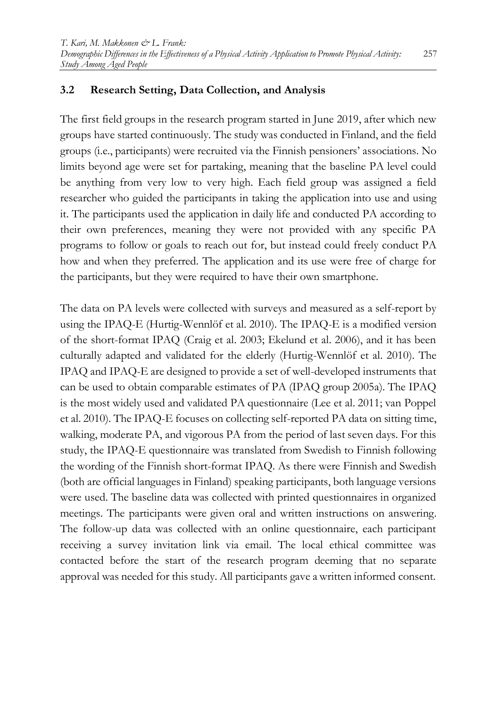#### **3.2 Research Setting, Data Collection, and Analysis**

The first field groups in the research program started in June 2019, after which new groups have started continuously. The study was conducted in Finland, and the field groups (i.e., participants) were recruited via the Finnish pensioners' associations. No limits beyond age were set for partaking, meaning that the baseline PA level could be anything from very low to very high. Each field group was assigned a field researcher who guided the participants in taking the application into use and using it. The participants used the application in daily life and conducted PA according to their own preferences, meaning they were not provided with any specific PA programs to follow or goals to reach out for, but instead could freely conduct PA how and when they preferred. The application and its use were free of charge for the participants, but they were required to have their own smartphone.

The data on PA levels were collected with surveys and measured as a self-report by using the IPAQ-E (Hurtig-Wennlöf et al. 2010). The IPAQ-E is a modified version of the short-format IPAQ (Craig et al. 2003; Ekelund et al. 2006), and it has been culturally adapted and validated for the elderly (Hurtig-Wennlöf et al. 2010). The IPAQ and IPAQ-E are designed to provide a set of well-developed instruments that can be used to obtain comparable estimates of PA (IPAQ group 2005a). The IPAQ is the most widely used and validated PA questionnaire (Lee et al. 2011; van Poppel et al. 2010). The IPAQ-E focuses on collecting self-reported PA data on sitting time, walking, moderate PA, and vigorous PA from the period of last seven days. For this study, the IPAQ-E questionnaire was translated from Swedish to Finnish following the wording of the Finnish short-format IPAQ. As there were Finnish and Swedish (both are official languages in Finland) speaking participants, both language versions were used. The baseline data was collected with printed questionnaires in organized meetings. The participants were given oral and written instructions on answering. The follow-up data was collected with an online questionnaire, each participant receiving a survey invitation link via email. The local ethical committee was contacted before the start of the research program deeming that no separate approval was needed for this study. All participants gave a written informed consent.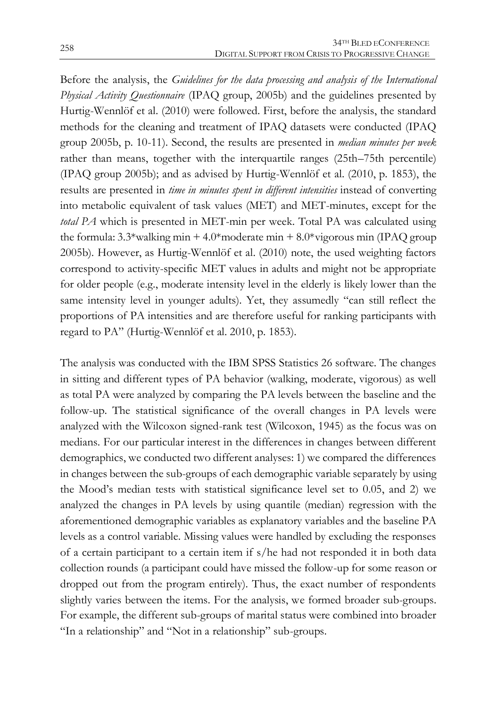Before the analysis, the *Guidelines for the data processing and analysis of the International Physical Activity Questionnaire* (IPAQ group, 2005b) and the guidelines presented by Hurtig-Wennlöf et al. (2010) were followed. First, before the analysis, the standard methods for the cleaning and treatment of IPAQ datasets were conducted (IPAQ group 2005b, p. 10-11). Second, the results are presented in *median minutes per week* rather than means, together with the interquartile ranges (25th–75th percentile) (IPAQ group 2005b); and as advised by Hurtig-Wennlöf et al. (2010, p. 1853), the results are presented in *time in minutes spent in different intensities* instead of converting into metabolic equivalent of task values (MET) and MET-minutes, except for the *total PA* which is presented in MET-min per week. Total PA was calculated using the formula:  $3.3*$ walking min +  $4.0*$ moderate min +  $8.0*$ vigorous min (IPAQ group 2005b). However, as Hurtig-Wennlöf et al. (2010) note, the used weighting factors correspond to activity-specific MET values in adults and might not be appropriate for older people (e.g., moderate intensity level in the elderly is likely lower than the same intensity level in younger adults). Yet, they assumedly "can still reflect the proportions of PA intensities and are therefore useful for ranking participants with regard to PA" (Hurtig-Wennlöf et al. 2010, p. 1853).

The analysis was conducted with the IBM SPSS Statistics 26 software. The changes in sitting and different types of PA behavior (walking, moderate, vigorous) as well as total PA were analyzed by comparing the PA levels between the baseline and the follow-up. The statistical significance of the overall changes in PA levels were analyzed with the Wilcoxon signed-rank test (Wilcoxon, 1945) as the focus was on medians. For our particular interest in the differences in changes between different demographics, we conducted two different analyses: 1) we compared the differences in changes between the sub-groups of each demographic variable separately by using the Mood's median tests with statistical significance level set to 0.05, and 2) we analyzed the changes in PA levels by using quantile (median) regression with the aforementioned demographic variables as explanatory variables and the baseline PA levels as a control variable. Missing values were handled by excluding the responses of a certain participant to a certain item if s/he had not responded it in both data collection rounds (a participant could have missed the follow-up for some reason or dropped out from the program entirely). Thus, the exact number of respondents slightly varies between the items. For the analysis, we formed broader sub-groups. For example, the different sub-groups of marital status were combined into broader "In a relationship" and "Not in a relationship" sub-groups.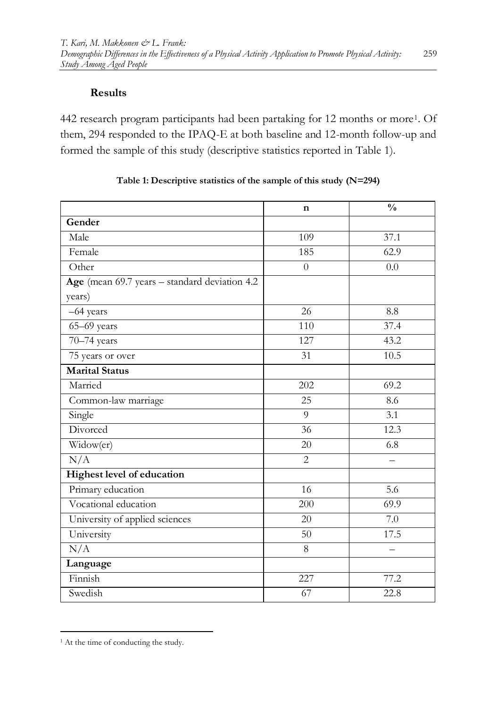#### **Results**

442 research program participants had been partaking for 12 months or more<sup>1</sup>. Of them, 294 responded to the IPAQ-E at both baseline and 12-month follow-up and formed the sample of this study (descriptive statistics reported in Table 1).

|                                               | n                | $\frac{0}{0}$ |
|-----------------------------------------------|------------------|---------------|
| Gender                                        |                  |               |
| Male                                          | 109              | 37.1          |
| Female                                        | 185              | 62.9          |
| Other                                         | $\Omega$         | 0.0           |
| Age (mean 69.7 years - standard deviation 4.2 |                  |               |
| years)                                        |                  |               |
| -64 years                                     | 26               | 8.8           |
| $65 - 69$ years                               | $\overline{110}$ | 37.4          |
| 70-74 years                                   | 127              | 43.2          |
| 75 years or over                              | 31               | 10.5          |
| <b>Marital Status</b>                         |                  |               |
| Married                                       | 202              | 69.2          |
| Common-law marriage                           | 25               | 8.6           |
| Single                                        | 9                | 3.1           |
| Divorced                                      | 36               | 12.3          |
| Widow(er)                                     | 20               | 6.8           |
| N/A                                           | $\overline{2}$   |               |
| Highest level of education                    |                  |               |
| Primary education                             | 16               | 5.6           |
| Vocational education                          | 200              | 69.9          |
| University of applied sciences                | 20               | 7.0           |
| University                                    | 50               | 17.5          |
| N/A                                           | 8                |               |
| Language                                      |                  |               |
| Finnish                                       | 227              | 77.2          |
| Swedish                                       | 67               | 22.8          |

| Table 1: Descriptive statistics of the sample of this study (N=294) |  |  |  |  |
|---------------------------------------------------------------------|--|--|--|--|
|                                                                     |  |  |  |  |

<sup>1</sup> <sup>1</sup> At the time of conducting the study.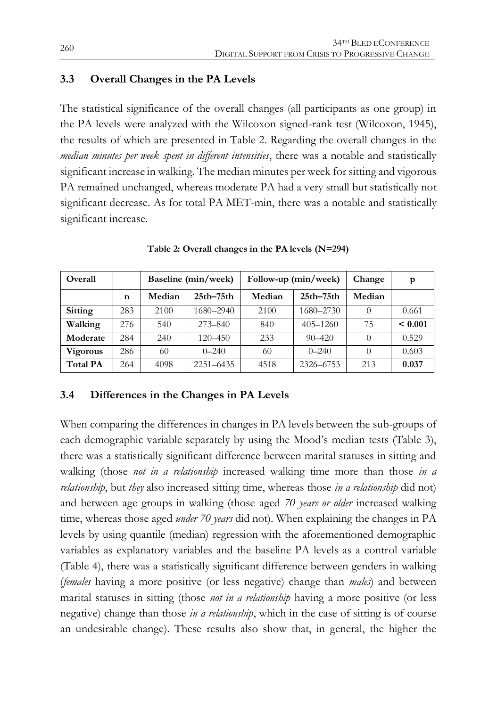#### **3.3 Overall Changes in the PA Levels**

The statistical significance of the overall changes (all participants as one group) in the PA levels were analyzed with the Wilcoxon signed-rank test (Wilcoxon, 1945), the results of which are presented in Table 2. Regarding the overall changes in the *median minutes per week spent in different intensities*, there was a notable and statistically significant increase in walking. The median minutes per week for sitting and vigorous PA remained unchanged, whereas moderate PA had a very small but statistically not significant decrease. As for total PA MET-min, there was a notable and statistically significant increase.

| Overall         |     | Baseline (min/week) |               |        | Follow-up (min/week) | Change   | p       |
|-----------------|-----|---------------------|---------------|--------|----------------------|----------|---------|
|                 | n   | Median              | $25th - 75th$ | Median | $25th-75th$          | Median   |         |
| Sitting         | 283 | 2100                | 1680-2940     | 2100   | 1680-2730            | $\Omega$ | 0.661   |
| Walking         | 276 | 540                 | $273 - 840$   | 840    | $405 - 1260$         | 75       | < 0.001 |
| Moderate        | 284 | 240                 | $120 - 450$   | 233    | $90 - 420$           | $\Omega$ | 0.529   |
| <b>Vigorous</b> | 286 | 60                  | $0 - 240$     | 60     | $0 - 240$            | 0        | 0.603   |
| <b>Total PA</b> | 264 | 4098                | 2251-6435     | 4518   | 2326-6753            | 213      | 0.037   |

**Table 2: Overall changes in the PA levels (N=294)**

#### **3.4 Differences in the Changes in PA Levels**

When comparing the differences in changes in PA levels between the sub-groups of each demographic variable separately by using the Mood's median tests (Table 3), there was a statistically significant difference between marital statuses in sitting and walking (those *not in a relationship* increased walking time more than those *in a relationship*, but *they* also increased sitting time, whereas those *in a relationship* did not) and between age groups in walking (those aged *70 years or older* increased walking time, whereas those aged *under 70 years* did not). When explaining the changes in PA levels by using quantile (median) regression with the aforementioned demographic variables as explanatory variables and the baseline PA levels as a control variable (Table 4), there was a statistically significant difference between genders in walking (*females* having a more positive (or less negative) change than *males*) and between marital statuses in sitting (those *not in a relationship* having a more positive (or less negative) change than those *in a relationship*, which in the case of sitting is of course an undesirable change). These results also show that, in general, the higher the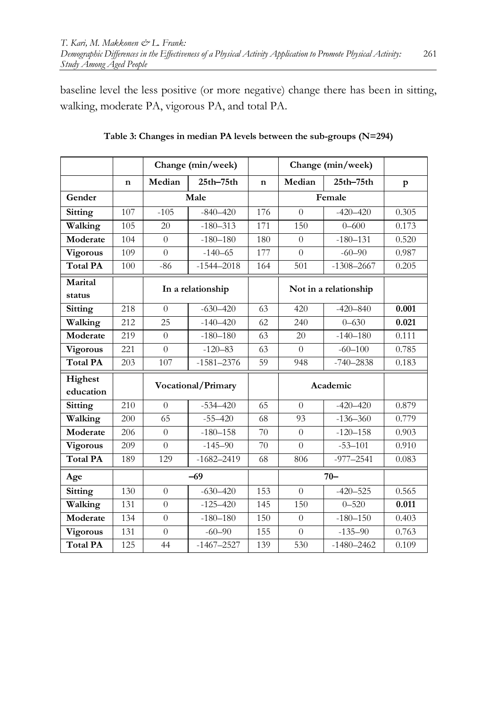baseline level the less positive (or more negative) change there has been in sitting, walking, moderate PA, vigorous PA, and total PA.

|                      |     | Change (min/week)  |                |             | Change (min/week)     |                |       |
|----------------------|-----|--------------------|----------------|-------------|-----------------------|----------------|-------|
|                      | n   | Median             | $25th - 75th$  | $\mathbf n$ | Median                | $25th - 75th$  | p     |
| Gender               |     | Male               |                |             | Female                |                |       |
| Sitting              | 107 | $-105$             | $-840 - 420$   | 176         | $\Omega$              | $-420 - 420$   | 0.305 |
| Walking              | 105 | 20                 | $-180 - 313$   | 171         | 150                   | $0 - 600$      | 0.173 |
| Moderate             | 104 | $\Omega$           | $-180 - 180$   | 180         | $\Omega$              | $-180 - 131$   | 0.520 |
| Vigorous             | 109 | $\theta$           | $-140 - 65$    | 177         | $\theta$              | $-60-90$       | 0.987 |
| <b>Total PA</b>      | 100 | $-86$              | $-1544 - 2018$ | 164         | 501                   | $-1308 - 2667$ | 0.205 |
| Marital<br>status    |     | In a relationship  |                |             | Not in a relationship |                |       |
| Sitting              | 218 | $\theta$           | $-630 - 420$   | 63          | 420                   | $-420 - 840$   | 0.001 |
| Walking              | 212 | 25                 | $-140 - 420$   | 62          | 240                   | $0 - 630$      | 0.021 |
| Moderate             | 219 | $\theta$           | $-180 - 180$   | 63          | 20                    | $-140 - 180$   | 0.111 |
| Vigorous             | 221 | $\theta$           | $-120 - 83$    | 63          | $\Omega$              | $-60 - 100$    | 0.785 |
| <b>Total PA</b>      | 203 | 107                | $-1581 - 2376$ | 59          | 948                   | $-740 - 2838$  | 0.183 |
| Highest<br>education |     | Vocational/Primary |                |             | Academic              |                |       |
| Sitting              | 210 | $\Omega$           | $-534 - 420$   | 65          | $\Omega$              | $-420-420$     | 0.879 |
| Walking              | 200 | 65                 | $-55 - 420$    | 68          | 93                    | $-136 - 360$   | 0.779 |
| Moderate             | 206 | $\theta$           | $-180 - 158$   | 70          | $\Omega$              | $-120 - 158$   | 0.903 |
| Vigorous             | 209 | $\theta$           | $-145 - 90$    | 70          | $\overline{0}$        | $-53 - 101$    | 0.910 |
| <b>Total PA</b>      | 189 | 129                | $-1682 - 2419$ | 68          | 806                   | $-977 - 2541$  | 0.083 |
| Age                  |     | $-69$              |                |             | $70 -$                |                |       |
| Sitting              | 130 | $\theta$           | $-630 - 420$   | 153         | $\Omega$              | $-420 - 525$   | 0.565 |
| Walking              | 131 | $\Omega$           | $-125 - 420$   | 145         | 150                   | $0 - 520$      | 0.011 |
| Moderate             | 134 | $\theta$           | $-180 - 180$   | 150         | $\theta$              | $-180 - 150$   | 0.403 |
| <b>Vigorous</b>      | 131 | $\theta$           | $-60-90$       | 155         | $\Omega$              | $-135 - 90$    | 0.763 |
| <b>Total PA</b>      | 125 | 44                 | $-1467 - 2527$ | 139         | 530                   | $-1480 - 2462$ | 0.109 |

**Table 3: Changes in median PA levels between the sub-groups (N=294)**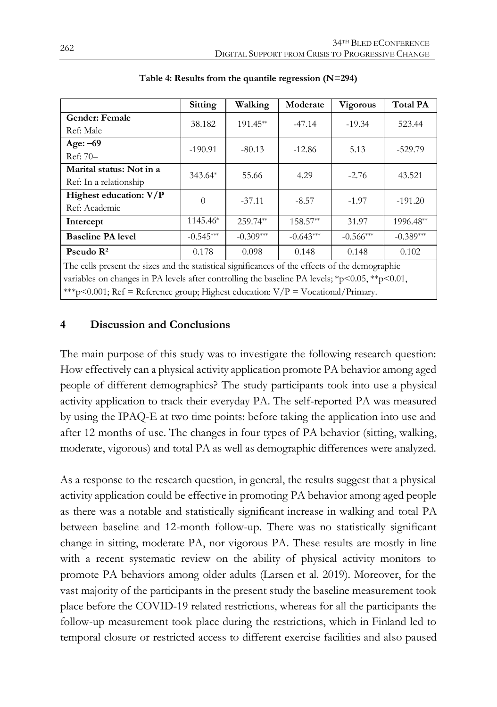|                                                                                                 | Sitting     | Walking     | Moderate    | <b>Vigorous</b> | <b>Total PA</b> |  |  |  |
|-------------------------------------------------------------------------------------------------|-------------|-------------|-------------|-----------------|-----------------|--|--|--|
| <b>Gender: Female</b>                                                                           | 38.182      | $191.45**$  | $-47.14$    | $-19.34$        | 523.44          |  |  |  |
| Ref: Male                                                                                       |             |             |             |                 |                 |  |  |  |
| Age: $-69$                                                                                      | $-190.91$   | $-80.13$    | $-12.86$    | 5.13            | $-529.79$       |  |  |  |
| Ref: 70-                                                                                        |             |             |             |                 |                 |  |  |  |
| Marital status: Not in a                                                                        | 343.64*     | 55.66       | 4.29        | $-2.76$         | 43.521          |  |  |  |
| Ref: In a relationship                                                                          |             |             |             |                 |                 |  |  |  |
| Highest education: V/P                                                                          | $\Omega$    | $-37.11$    | $-8.57$     | $-1.97$         | $-191.20$       |  |  |  |
| Ref: Academic                                                                                   |             |             |             |                 |                 |  |  |  |
| Intercept                                                                                       | 1145.46*    | $259.74**$  | 158.57**    | 31.97           | 1996.48**       |  |  |  |
| <b>Baseline PA level</b>                                                                        | $-0.545***$ | $-0.309***$ | $-0.643***$ | $-0.566***$     | $-0.389***$     |  |  |  |
| Pseudo $\mathbb{R}^2$                                                                           | 0.178       | 0.098       | 0.148       | 0.148           | 0.102           |  |  |  |
| The cells present the sizes and the statistical significances of the effects of the demographic |             |             |             |                 |                 |  |  |  |
| variables on changes in PA levels after controlling the baseline PA levels; *p<0.05, **p<0.01,  |             |             |             |                 |                 |  |  |  |
| ***p<0.001; Ref = Reference group; Highest education: $V/P = V$ ocational/Primary.              |             |             |             |                 |                 |  |  |  |

**Table 4: Results from the quantile regression (N=294)**

#### **4 Discussion and Conclusions**

The main purpose of this study was to investigate the following research question: How effectively can a physical activity application promote PA behavior among aged people of different demographics? The study participants took into use a physical activity application to track their everyday PA. The self-reported PA was measured by using the IPAQ-E at two time points: before taking the application into use and after 12 months of use. The changes in four types of PA behavior (sitting, walking, moderate, vigorous) and total PA as well as demographic differences were analyzed.

As a response to the research question, in general, the results suggest that a physical activity application could be effective in promoting PA behavior among aged people as there was a notable and statistically significant increase in walking and total PA between baseline and 12-month follow-up. There was no statistically significant change in sitting, moderate PA, nor vigorous PA. These results are mostly in line with a recent systematic review on the ability of physical activity monitors to promote PA behaviors among older adults (Larsen et al. 2019). Moreover, for the vast majority of the participants in the present study the baseline measurement took place before the COVID-19 related restrictions, whereas for all the participants the follow-up measurement took place during the restrictions, which in Finland led to temporal closure or restricted access to different exercise facilities and also paused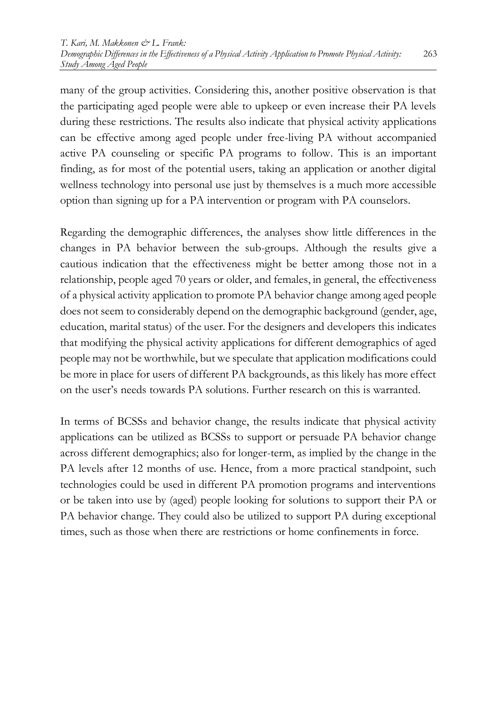many of the group activities. Considering this, another positive observation is that the participating aged people were able to upkeep or even increase their PA levels during these restrictions. The results also indicate that physical activity applications can be effective among aged people under free-living PA without accompanied active PA counseling or specific PA programs to follow. This is an important finding, as for most of the potential users, taking an application or another digital wellness technology into personal use just by themselves is a much more accessible option than signing up for a PA intervention or program with PA counselors.

Regarding the demographic differences, the analyses show little differences in the changes in PA behavior between the sub-groups. Although the results give a cautious indication that the effectiveness might be better among those not in a relationship, people aged 70 years or older, and females, in general, the effectiveness of a physical activity application to promote PA behavior change among aged people does not seem to considerably depend on the demographic background (gender, age, education, marital status) of the user. For the designers and developers this indicates that modifying the physical activity applications for different demographics of aged people may not be worthwhile, but we speculate that application modifications could be more in place for users of different PA backgrounds, as this likely has more effect on the user's needs towards PA solutions. Further research on this is warranted.

In terms of BCSSs and behavior change, the results indicate that physical activity applications can be utilized as BCSSs to support or persuade PA behavior change across different demographics; also for longer-term, as implied by the change in the PA levels after 12 months of use. Hence, from a more practical standpoint, such technologies could be used in different PA promotion programs and interventions or be taken into use by (aged) people looking for solutions to support their PA or PA behavior change. They could also be utilized to support PA during exceptional times, such as those when there are restrictions or home confinements in force.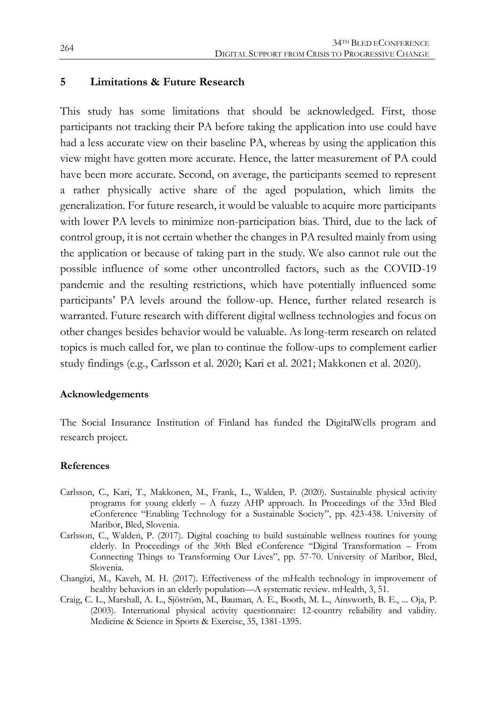#### **5 Limitations & Future Research**

This study has some limitations that should be acknowledged. First, those participants not tracking their PA before taking the application into use could have had a less accurate view on their baseline PA, whereas by using the application this view might have gotten more accurate. Hence, the latter measurement of PA could have been more accurate. Second, on average, the participants seemed to represent a rather physically active share of the aged population, which limits the generalization. For future research, it would be valuable to acquire more participants with lower PA levels to minimize non-participation bias. Third, due to the lack of control group, it is not certain whether the changes in PA resulted mainly from using the application or because of taking part in the study. We also cannot rule out the possible influence of some other uncontrolled factors, such as the COVID-19 pandemic and the resulting restrictions, which have potentially influenced some participants' PA levels around the follow-up. Hence, further related research is warranted. Future research with different digital wellness technologies and focus on other changes besides behavior would be valuable. As long-term research on related topics is much called for, we plan to continue the follow-ups to complement earlier study findings (e.g., Carlsson et al. 2020; Kari et al. 2021; Makkonen et al. 2020).

#### **Acknowledgements**

The Social Insurance Institution of Finland has funded the DigitalWells program and research project.

#### **References**

- Carlsson, C., Kari, T., Makkonen, M., Frank, L., Walden, P. (2020). Sustainable physical activity programs for young elderly – A fuzzy AHP approach. In Proceedings of the 33rd Bled eConference "Enabling Technology for a Sustainable Society", pp. 423-438. University of Maribor, Bled, Slovenia.
- Carlsson, C., Walden, P. (2017). Digital coaching to build sustainable wellness routines for young elderly. In Proceedings of the 30th Bled eConference "Digital Transformation – From Connecting Things to Transforming Our Lives", pp. 57-70. University of Maribor, Bled, Slovenia.
- Changizi, M., Kaveh, M. H. (2017). Effectiveness of the mHealth technology in improvement of healthy behaviors in an elderly population—A systematic review. mHealth, 3, 51.
- Craig, C. L., Marshall, A. L., Sjöström, M., Bauman, A. E., Booth, M. L., Ainsworth, B. E., ... Oja, P. (2003). International physical activity questionnaire: 12-country reliability and validity. Medicine & Science in Sports & Exercise, 35, 1381-1395.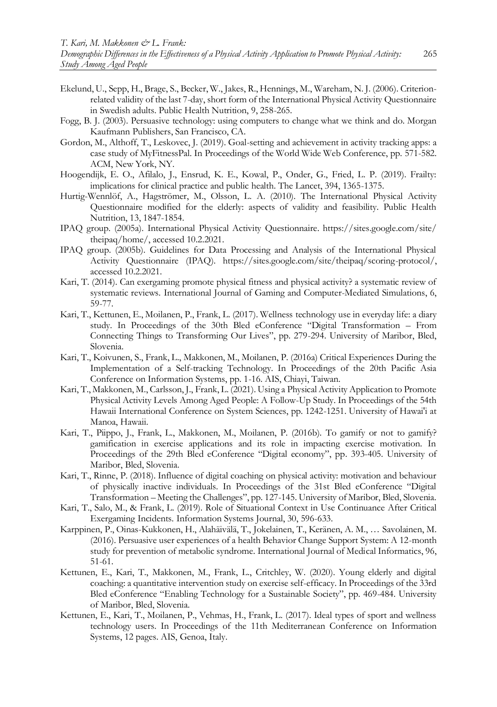- Ekelund, U., Sepp, H., Brage, S., Becker, W., Jakes, R., Hennings, M., Wareham, N. J. (2006). Criterionrelated validity of the last 7-day, short form of the International Physical Activity Questionnaire in Swedish adults. Public Health Nutrition, 9, 258-265.
- Fogg, B. J. (2003). Persuasive technology: using computers to change what we think and do. Morgan Kaufmann Publishers, San Francisco, CA.
- Gordon, M., Althoff, T., Leskovec, J. (2019). Goal-setting and achievement in activity tracking apps: a case study of MyFitnessPal. In Proceedings of the World Wide Web Conference, pp. 571-582. ACM, New York, NY.
- Hoogendijk, E. O., Afilalo, J., Ensrud, K. E., Kowal, P., Onder, G., Fried, L. P. (2019). Frailty: implications for clinical practice and public health. The Lancet, 394, 1365-1375.
- Hurtig-Wennlöf, A., Hagströmer, M., Olsson, L. A. (2010). The International Physical Activity Questionnaire modified for the elderly: aspects of validity and feasibility. Public Health Nutrition, 13, 1847-1854.
- IPAQ group. (2005a). International Physical Activity Questionnaire. https://sites.google.com/site/ theipaq/home/, accessed 10.2.2021.
- IPAQ group. (2005b). Guidelines for Data Processing and Analysis of the International Physical Activity Questionnaire (IPAQ). https://sites.google.com/site/theipaq/scoring-protocol/, accessed 10.2.2021.
- Kari, T. (2014). Can exergaming promote physical fitness and physical activity? a systematic review of systematic reviews. International Journal of Gaming and Computer-Mediated Simulations, 6, 59-77.
- Kari, T., Kettunen, E., Moilanen, P., Frank, L. (2017). Wellness technology use in everyday life: a diary study. In Proceedings of the 30th Bled eConference "Digital Transformation – From Connecting Things to Transforming Our Lives", pp. 279-294. University of Maribor, Bled, Slovenia.
- Kari, T., Koivunen, S., Frank, L., Makkonen, M., Moilanen, P. (2016a) Critical Experiences During the Implementation of a Self-tracking Technology. In Proceedings of the 20th Pacific Asia Conference on Information Systems, pp. 1-16. AIS, Chiayi, Taiwan.
- Kari, T., Makkonen, M., Carlsson, J., Frank, L. (2021). Using a Physical Activity Application to Promote Physical Activity Levels Among Aged People: A Follow-Up Study. In Proceedings of the 54th Hawaii International Conference on System Sciences, pp. 1242-1251. University of Hawai'i at Manoa, Hawaii.
- Kari, T., Piippo, J., Frank, L., Makkonen, M., Moilanen, P. (2016b). To gamify or not to gamify? gamification in exercise applications and its role in impacting exercise motivation. In Proceedings of the 29th Bled eConference "Digital economy", pp. 393-405. University of Maribor, Bled, Slovenia.
- Kari, T., Rinne, P. (2018). Influence of digital coaching on physical activity: motivation and behaviour of physically inactive individuals. In Proceedings of the 31st Bled eConference "Digital Transformation – Meeting the Challenges", pp. 127-145. University of Maribor, Bled, Slovenia.
- Kari, T., Salo, M., & Frank, L. (2019). Role of Situational Context in Use Continuance After Critical Exergaming Incidents. Information Systems Journal, 30, 596-633.
- Karppinen, P., Oinas-Kukkonen, H., Alahäivälä, T., Jokelainen, T., Keränen, A. M., … Savolainen, M. (2016). Persuasive user experiences of a health Behavior Change Support System: A 12-month study for prevention of metabolic syndrome. International Journal of Medical Informatics, 96, 51-61.
- Kettunen, E., Kari, T., Makkonen, M., Frank, L., Critchley, W. (2020). Young elderly and digital coaching: a quantitative intervention study on exercise self-efficacy. In Proceedings of the 33rd Bled eConference "Enabling Technology for a Sustainable Society", pp. 469-484. University of Maribor, Bled, Slovenia.
- Kettunen, E., Kari, T., Moilanen, P., Vehmas, H., Frank, L. (2017). Ideal types of sport and wellness technology users. In Proceedings of the 11th Mediterranean Conference on Information Systems, 12 pages. AIS, Genoa, Italy.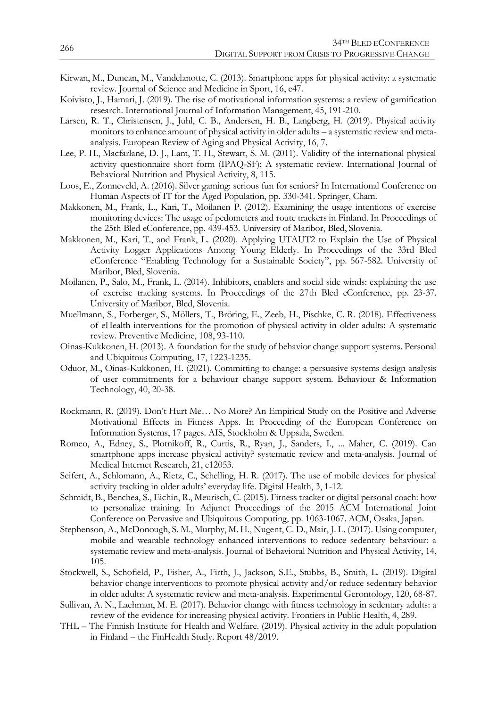- Kirwan, M., Duncan, M., Vandelanotte, C. (2013). Smartphone apps for physical activity: a systematic review. Journal of Science and Medicine in Sport, 16, e47.
- Koivisto, J., Hamari, J. (2019). The rise of motivational information systems: a review of gamification research. International Journal of Information Management, 45, 191-210.
- Larsen, R. T., Christensen, J., Juhl, C. B., Andersen, H. B., Langberg, H. (2019). Physical activity monitors to enhance amount of physical activity in older adults – a systematic review and metaanalysis. European Review of Aging and Physical Activity, 16, 7.
- Lee, P. H., Macfarlane, D. J., Lam, T. H., Stewart, S. M. (2011). Validity of the international physical activity questionnaire short form (IPAQ-SF): A systematic review. International Journal of Behavioral Nutrition and Physical Activity, 8, 115.
- Loos, E., Zonneveld, A. (2016). Silver gaming: serious fun for seniors? In International Conference on Human Aspects of IT for the Aged Population, pp. 330-341. Springer, Cham.
- Makkonen, M., Frank, L., Kari, T., Moilanen P. (2012). Examining the usage intentions of exercise monitoring devices: The usage of pedometers and route trackers in Finland. In Proceedings of the 25th Bled eConference, pp. 439-453. University of Maribor, Bled, Slovenia.
- Makkonen, M., Kari, T., and Frank, L. (2020). Applying UTAUT2 to Explain the Use of Physical Activity Logger Applications Among Young Elderly. In Proceedings of the 33rd Bled eConference "Enabling Technology for a Sustainable Society", pp. 567-582. University of Maribor, Bled, Slovenia.
- Moilanen, P., Salo, M., Frank, L. (2014). Inhibitors, enablers and social side winds: explaining the use of exercise tracking systems. In Proceedings of the 27th Bled eConference, pp. 23-37. University of Maribor, Bled, Slovenia.
- Muellmann, S., Forberger, S., Möllers, T., Bröring, E., Zeeb, H., Pischke, C. R. (2018). Effectiveness of eHealth interventions for the promotion of physical activity in older adults: A systematic review. Preventive Medicine, 108, 93-110.
- Oinas-Kukkonen, H. (2013). A foundation for the study of behavior change support systems. Personal and Ubiquitous Computing, 17, 1223-1235.
- Oduor, M., Oinas-Kukkonen, H. (2021). Committing to change: a persuasive systems design analysis of user commitments for a behaviour change support system. Behaviour & Information Technology, 40, 20-38.
- Rockmann, R. (2019). Don't Hurt Me… No More? An Empirical Study on the Positive and Adverse Motivational Effects in Fitness Apps. In Proceeding of the European Conference on Information Systems, 17 pages. AIS, Stockholm & Uppsala, Sweden.
- Romeo, A., Edney, S., Plotnikoff, R., Curtis, R., Ryan, J., Sanders, I., ... Maher, C. (2019). Can smartphone apps increase physical activity? systematic review and meta-analysis. Journal of Medical Internet Research, 21, e12053.
- Seifert, A., Schlomann, A., Rietz, C., Schelling, H. R. (2017). The use of mobile devices for physical activity tracking in older adults' everyday life. Digital Health, 3, 1-12.
- Schmidt, B., Benchea, S., Eichin, R., Meurisch, C. (2015). Fitness tracker or digital personal coach: how to personalize training. In Adjunct Proceedings of the 2015 ACM International Joint Conference on Pervasive and Ubiquitous Computing, pp. 1063-1067. ACM, Osaka, Japan.
- Stephenson, A., McDonough, S. M., Murphy, M. H., Nugent, C. D., Mair, J. L. (2017). Using computer, mobile and wearable technology enhanced interventions to reduce sedentary behaviour: a systematic review and meta-analysis. Journal of Behavioral Nutrition and Physical Activity, 14, 105.
- Stockwell, S., Schofield, P., Fisher, A., Firth, J., Jackson, S.E., Stubbs, B., Smith, L. (2019). Digital behavior change interventions to promote physical activity and/or reduce sedentary behavior in older adults: A systematic review and meta-analysis. Experimental Gerontology, 120, 68-87.
- Sullivan, A. N., Lachman, M. E. (2017). Behavior change with fitness technology in sedentary adults: a review of the evidence for increasing physical activity. Frontiers in Public Health, 4, 289.
- THL The Finnish Institute for Health and Welfare. (2019). Physical activity in the adult population in Finland – the FinHealth Study. Report 48/2019.